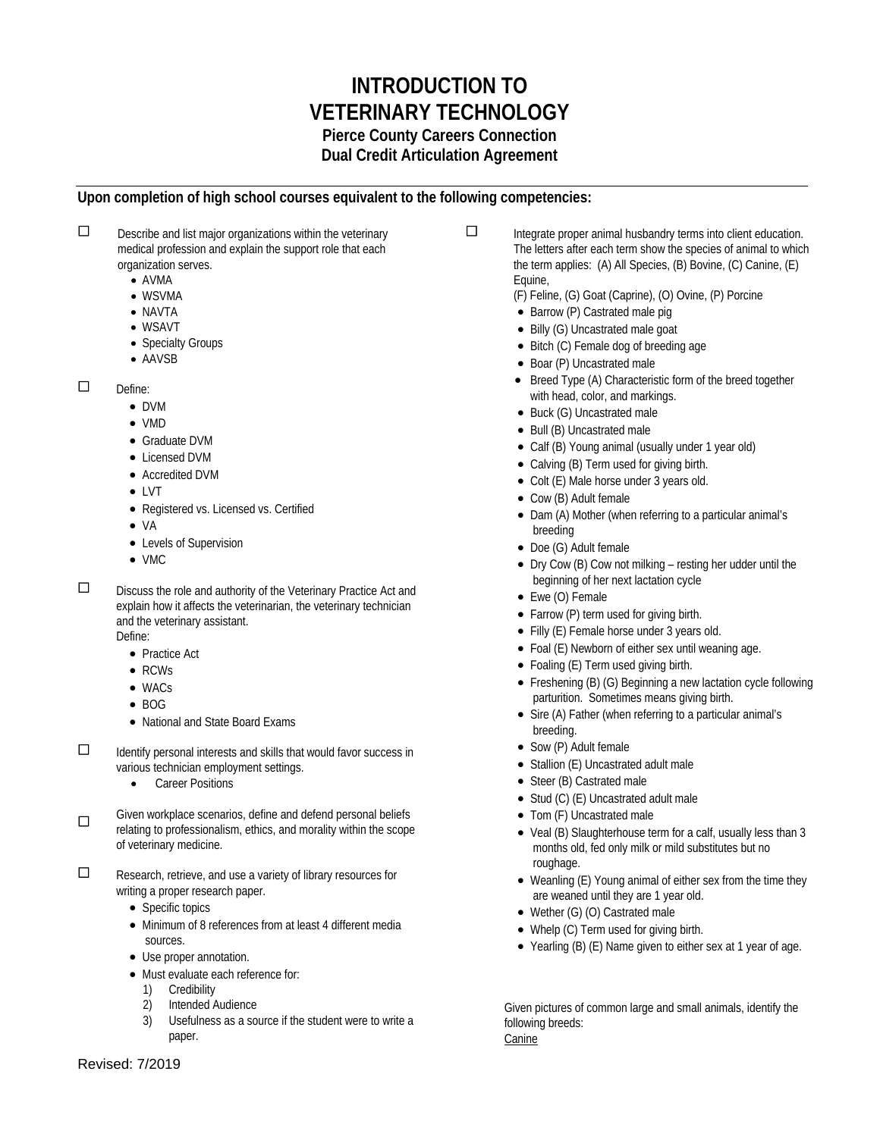# **INTRODUCTION TO VETERINARY TECHNOLOGY Pierce County Careers Connection Dual Credit Articulation Agreement**

## **Upon completion of high school courses equivalent to the following competencies:**

 $\square$  Describe and list major organizations within the veterinary medical profession and explain the support role that each organization serves.

- AVMA
- WSVMA
- NAVTA
- WSAVT
- Specialty Groups
- AAVSB

 $\Box$  Define:

- DVM
- VMD
- Graduate DVM
- Licensed DVM
- Accredited DVM
- LVT
- Registered vs. Licensed vs. Certified
- VA
- Levels of Supervision
- VMC

 Discuss the role and authority of the Veterinary Practice Act and explain how it affects the veterinarian, the veterinary technician and the veterinary assistant.

Define: • Practice Act

- RCWs
- WACs
- BOG
- National and State Board Exams

 $\Box$  Identify personal interests and skills that would favor success in various technician employment settings.

- **Career Positions**
- Given workplace scenarios, define and defend personal beliefs relating to professionalism, ethics, and morality within the scope of veterinary medicine.

 $\square$  Research, retrieve, and use a variety of library resources for writing a proper research paper.

- Specific topics
- Minimum of 8 references from at least 4 different media sources.
- Use proper annotation.
- Must evaluate each reference for:
	- 1) Credibility
	- 2) Intended Audience
	- 3) Usefulness as a source if the student were to write a paper.
- $\Box$  Integrate proper animal husbandry terms into client education. The letters after each term show the species of animal to which the term applies: (A) All Species, (B) Bovine, (C) Canine, (E) Equine,
	- (F) Feline, (G) Goat (Caprine), (O) Ovine, (P) Porcine
	- Barrow (P) Castrated male pig
	- Billy (G) Uncastrated male goat
	- Bitch (C) Female dog of breeding age
	- Boar (P) Uncastrated male
	- Breed Type (A) Characteristic form of the breed together with head, color, and markings.
	- Buck (G) Uncastrated male
	- Bull (B) Uncastrated male
	- Calf (B) Young animal (usually under 1 year old)
	- Calving (B) Term used for giving birth.
	- Colt (E) Male horse under 3 years old.
	- Cow (B) Adult female
	- Dam (A) Mother (when referring to a particular animal's breeding
	- Doe (G) Adult female
	- Dry Cow (B) Cow not milking resting her udder until the beginning of her next lactation cycle
	- Ewe (O) Female
	- Farrow (P) term used for giving birth.
	- Filly (E) Female horse under 3 years old.
	- Foal (E) Newborn of either sex until weaning age.
	- Foaling (E) Term used giving birth.
	- Freshening (B) (G) Beginning a new lactation cycle following parturition. Sometimes means giving birth.
	- Sire (A) Father (when referring to a particular animal's breeding.
	- Sow (P) Adult female
	- Stallion (E) Uncastrated adult male
	- Steer (B) Castrated male
	- Stud (C) (E) Uncastrated adult male
	- Tom (F) Uncastrated male
	- Veal (B) Slaughterhouse term for a calf, usually less than 3 months old, fed only milk or mild substitutes but no roughage.
	- Weanling (E) Young animal of either sex from the time they are weaned until they are 1 year old.
	- Wether (G) (O) Castrated male
	- Whelp (C) Term used for giving birth.
	- Yearling (B) (E) Name given to either sex at 1 year of age.

Given pictures of common large and small animals, identify the following breeds: Canine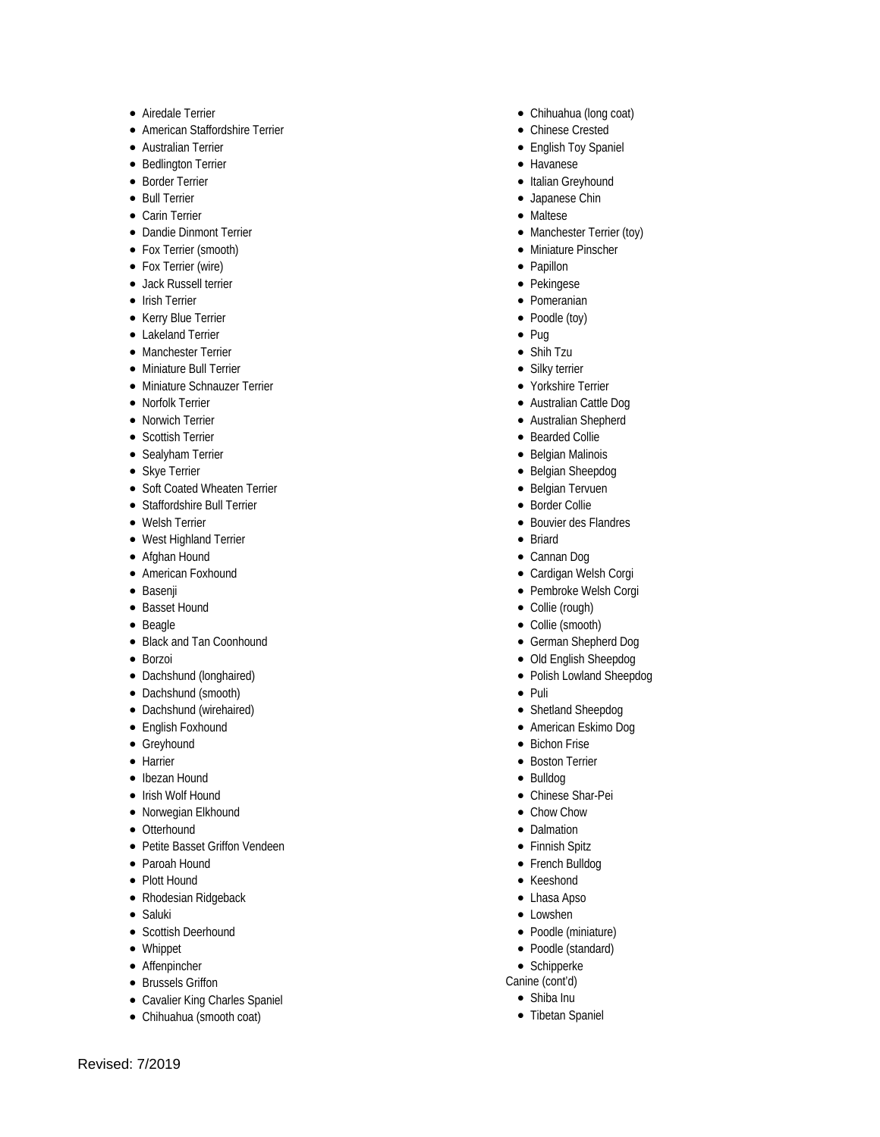- 
- 
- 
- 
- 
- 
- 
- 
- 
- 
- 
- 
- 
- 
- 
- 
- 
- 
- 
- 
- 
- 
- 
- 
- 
- 
- 
- 
- 
- 
- 
- 
- 
- 
- 
- 
- 
- 
- 
- 
- 
- 
- 
- 
- 
- 
- 
- 
- 
- 
- 
- 
- e Alredale Terrier<br>
e American Staffordshire Terrier<br>
e Australian Terrier<br>
e Mustralian Terrier<br>
e Border Terier<br>
e Border Terier<br>
e Carlin Terrier<br>
e Carlin Terrier<br>
e Carlin Terrier<br>
e Carlin Terrier<br>
e Carlin Terrier
	-
- Chihuahua (long coat)
- Chinese Crested
- English Toy Spaniel
- Havanese
- Italian Greyhound
- Japanese Chin
- Maltese
- Manchester Terrier (toy)
- Miniature Pinscher
- Papillon
- Pekingese
- Pomeranian
- Poodle (toy)
- Pug
- Shih Tzu
- Silky terrier
- Yorkshire Terrier
- Australian Cattle Dog
- Australian Shepherd
- Bearded Collie
- Belgian Malinois
- Belgian Sheepdog
- Belgian Tervuen
- Border Collie
- Bouvier des Flandres
- Briard
- Cannan Dog
- Cardigan Welsh Corgi
- Pembroke Welsh Corgi
- Collie (rough)
- Collie (smooth)
- German Shepherd Dog
- Old English Sheepdog
- Polish Lowland Sheepdog
- Puli
- Shetland Sheepdog
- American Eskimo Dog
- Bichon Frise
- Boston Terrier
- Bulldog
- Chinese Shar-Pei
- Chow Chow
- Dalmation
- Finnish Spitz
- French Bulldog
- Keeshond • Lhasa Apso

• Lowshen • Poodle (miniature) • Poodle (standard) • Schipperke Canine (cont'd) • Shiba Inu • Tibetan Spaniel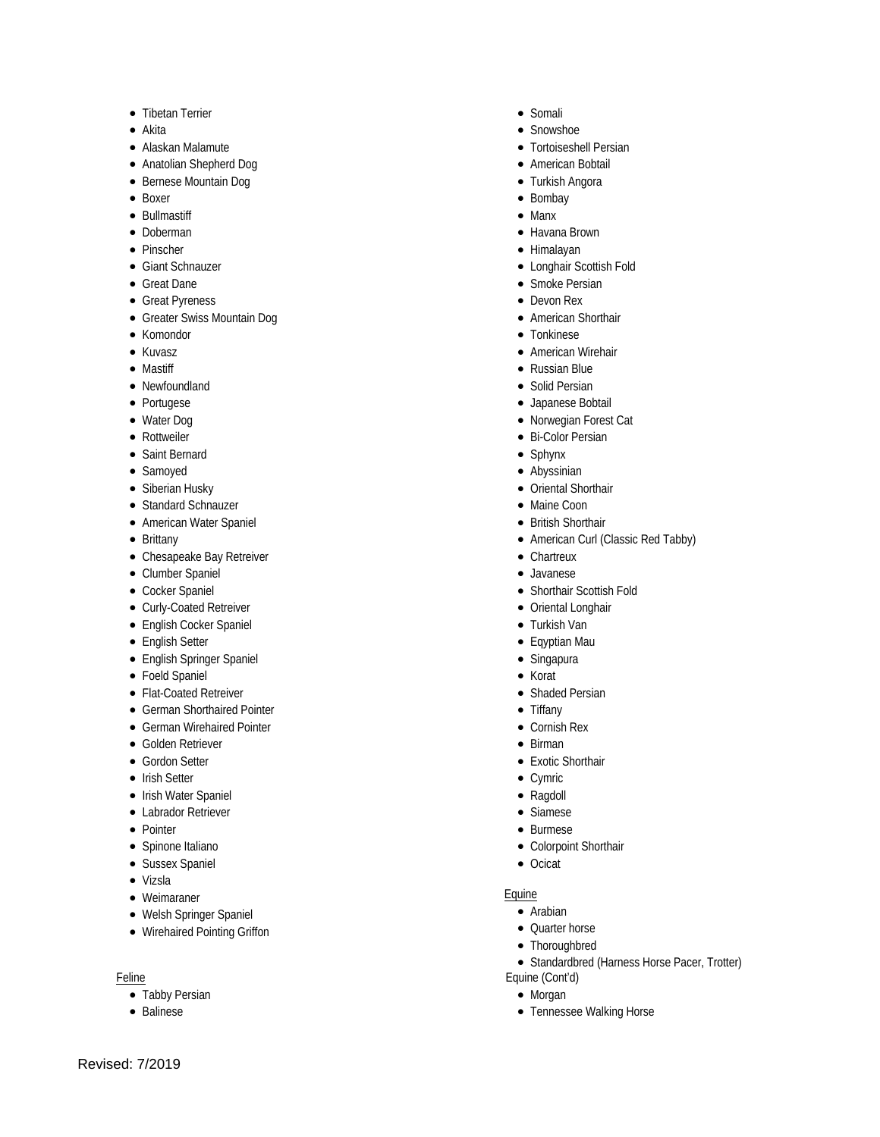- Tibetan Terrier
- Akita
- Alaskan Malamute
- Anatolian Shepherd Dog
- Bernese Mountain Dog
- Boxer
- Bullmastiff
- Doberman
- Pinscher
- Giant Schnauzer
- Great Dane
- Great Pyreness
- Greater Swiss Mountain Dog
- Komondor
- Kuvasz
- Mastiff
- Newfoundland
- Portugese
- Water Dog
- Rottweiler
- Saint Bernard
- Samoyed
- Siberian Husky
- Standard Schnauzer
- American Water Spaniel
- Brittany
- Chesapeake Bay Retreiver
- Clumber Spaniel
- Cocker Spaniel
- Curly-Coated Retreiver
- English Cocker Spaniel
- English Setter
- English Springer Spaniel
- Foeld Spaniel
- Flat-Coated Retreiver
- German Shorthaired Pointer
- German Wirehaired Pointer
- Golden Retriever
- Gordon Setter
- Irish Setter
- Irish Water Spaniel
- Labrador Retriever
- Pointer
- Spinone Italiano
- Sussex Spaniel
- Vizsla
- Weimaraner
- Welsh Springer Spaniel
- Wirehaired Pointing Griffon

#### Feline

Revised: 7/2019

- Tabby Persian
- Balinese
- Somali
- Snowshoe
- Tortoiseshell Persian
- American Bobtail
- Turkish Angora
- Bombay
- Manx
- Havana Brown
- Himalayan
- Longhair Scottish Fold
- Smoke Persian
- Devon Rex
- American Shorthair
- Tonkinese
- American Wirehair
- Russian Blue
- Solid Persian
- Japanese Bobtail
- Norwegian Forest Cat
- Bi-Color Persian
- Sphynx
- Abyssinian
- Oriental Shorthair
- Maine Coon
- British Shorthair
- American Curl (Classic Red Tabby)
- Chartreux
- Javanese
- Shorthair Scottish Fold
- Oriental Longhair
- Turkish Van
- Eqyptian Mau
- Singapura
- Korat
- Shaded Persian
- Tiffany
- Cornish Rex
- Birman
- Exotic Shorthair
- Cymric
- Ragdoll
- Siamese
- Burmese
- Colorpoint Shorthair
- Ocicat

#### Equine

• Arabian

Equine (Cont'd) • Morgan

• Quarter horse • Thoroughbred

• Tennessee Walking Horse

• Standardbred (Harness Horse Pacer, Trotter)